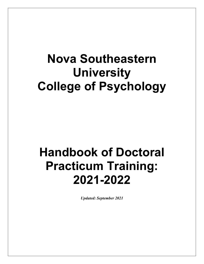# **Nova Southeastern University College of Psychology**

# **Handbook of Doctoral Practicum Training: 2021-2022**

*Updated: September 2021*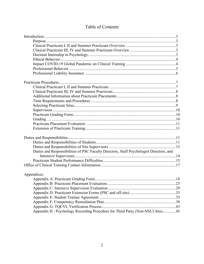|  | Table of Contents |
|--|-------------------|
|--|-------------------|

| Duties and Responsibilities of PSC Faculty Directors, Staff Psychologist Directors, and |     |
|-----------------------------------------------------------------------------------------|-----|
|                                                                                         |     |
|                                                                                         |     |
| Appendices:                                                                             |     |
|                                                                                         |     |
|                                                                                         | .23 |
|                                                                                         |     |
|                                                                                         |     |
|                                                                                         |     |
|                                                                                         |     |
|                                                                                         |     |
| Appendix H: Psychology Recording Procedure for Third Party (Non-NSU) Sites45            |     |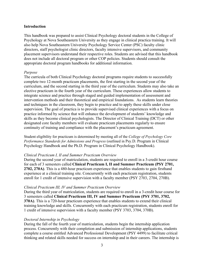#### **Introduction**

This handbook was prepared to assist Clinical Psychology doctoral students in the College of Psychology at Nova Southeastern University as they engage in clinical practica training. It will also help Nova Southeastern University Psychology Service Center (PSC) faculty clinic directors, staff psychologist clinic directors, faculty intensive supervisors, and community placement supervisors understand their respective roles. Students are advised that this handbook does not include all doctoral program or other COP policies. Students should consult the appropriate doctoral program handbooks for additional information.

#### *Purpose*

The curricula of both Clinical Psychology doctoral programs require students to successfully complete two 12-month practicum placements, the first starting in the second year of the curriculum, and the second starting in the third year of the curriculum. Students may also take an elective practicum in the fourth year of the curriculum. These experiences allow students to integrate science and practice through staged and guided implementation of assessment and intervention methods and their theoretical and empirical foundations. As students learn theories and techniques in the classroom, they begin to practice and to apply these skills under close supervision. The goal of practica is to provide supervised clinical experiences with a focus on practice informed by science that will enhance the development of students' knowledge and skills as they become clinical psychologists. The Director of Clinical Training (DCT) or other designated core faculty members will evaluate practicum placements regularly to ensure continuity of training and compliance with the placement's practicum agreement.

Student eligibility for practicum is determined by meeting all of the *College of Psychology Core Performance Standards for Admissions and Progress* (outlined in Psy.D. Program in Clinical Psychology Handbook and the Ph.D. Program in Clinical Psychology Handbook).

### *Clinical Practicum I, II and Summer Practicum Overview*

During the second year of matriculation, students are required to enroll in a 3-credit hour course for each of 3 semesters called **Clinical Practicum I, II and Summer Practicum (PSY 2701, 2702, 270A)**. This is a 480-hour practicum experience that enables students to gain firsthand experience at a clinical training site. Concurrently with each practicum registration, students enroll for 1 credit of intensive supervision with a faculty member (PSY 2703, 2704, 270B).

#### *Clinical Practicum III, IV and Summer Practicum Overview*

During the third year of matriculation, students are required to enroll in a 3-credit hour course for 3 semesters called **Clinical Practicum III, IV and Summer Practicum (PSY 3701, 3702, 370A)**. This is a 720-hour practicum experience that enables students to extend their clinical training knowledge and skills. Concurrently with each practicum registration, students enroll for 1 credit of intensive supervision with a faculty member (PSY 3703, 3704, 370B).

### *Doctoral Internship in Psychology*

During the fall of the fourth year of matriculation, students begin the internship application process. Concurrently with their completion and submission of internship applications, students complete a course entitled Advanced Professional Development (PSY 4499) to facilitate critical thinking and related skills needed for success on internship and in their careers. The internship is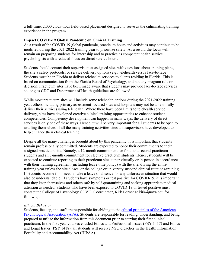a full-time, 2,000 clock-hour field-based placement designed to serve as the culminating training experience in the program.

### **Impact COVID-19 Global Pandemic on Clinical Training**

As a result of the COVID-19 global pandemic, practicum hours and activities may continue to be modified during the 2021-2022 training year to prioritize safety. As a result, the focus will remain on preparing students for internship and to practice as competent health service psychologists with a reduced focus on direct service hours.

Students should contact their supervisors at assigned sites with questions about training plans, the site's safety protocols, or service delivery options (e.g., telehealth versus face-to-face). Students must be in Florida to deliver telehealth services to clients residing in Florida. This is based on communication from the Florida Board of Psychology, and not any program rule or decision. Practicum sites have been made aware that students may provide face-to-face services so long as CDC and Department of Health guidelines are followed.

While most practicum sites will include some telehealth options during the 2021-2022 training year, others including primary assessment-focused sites and hospitals may not be able to fully deliver their services using telehealth. Where there have been limits to telehealth service delivery, sites have developed creative clinical training opportunities to enhance student competencies. Competency development can happen in many ways, the delivery of direct services is only one of these ways. Hence, it will be very important for all students to be open to availing themselves of all the many training activities sites and supervisors have developed to help enhance their clinical training.

Despite all the many challenges brought about by this pandemic, it is important that students remain professionally committed. Students are expected to honor their commitments to their assigned practicum site. Namely, a 12-month commitment for first- and second-practicum students and an 8-month commitment for elective practicum students. Hence, students will be expected to continue reporting to their practicum site, either virtually or in-person in accordance with their training agreement (including leave time policy) with the site, during the entire training year unless the site closes, or the college or university suspend clinical rotations/training. If students become ill or need to take a leave of absence for any unforeseen situation that would also be understandable. If students have symptoms or test positive for COVID-19, it is important that they keep themselves and others safe by self-quarantining and seeking appropriate medical attention as needed. Students who have been exposed to COVID-19 or tested positive must contact the College of Psychology COVID Coordinator, Kirk Berner at kirk@nova.edu for follow up.

# *Ethical Behavior*

Students, faculty, and staff are responsible for abiding to the [ethical principles of the American](http://www.apa.org/ethics/code/index.aspx)  [Psychological Association \(APA\).](http://www.apa.org/ethics/code/index.aspx) Students are responsible for reading, understanding, and being prepared to utilize the information from this document prior to starting their first clinical practicum. In the first-year courses entitled Ethics and Professional Issues (PSY 1417) and Ethics and Legal Issues (PSY 1418), all students will receive NSU didactics in the Health Information Portability and Accountability Act (HIPAA).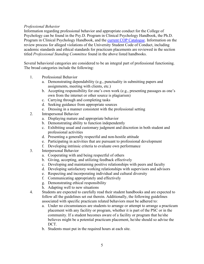# *Professional Behavior*

Information regarding professional behavior and appropriate conduct for the College of Psychology can be found in the Psy.D. Program in Clinical Psychology Handbook, the Ph.D. Program in Clinical Psychology Handbook, and the [current COP](https://psychology.nova.edu/students/current-students.html) Catalogue. Information on the review process for alleged violations of the University Student Code of Conduct, including academic standards and ethical standards for practicum placements are reviewed in the section titled *Professional Standing Committee* found in the above listed handbooks.

Several behavioral categories are considered to be an integral part of professional functioning. The broad categories include the following:

- 1. Professional Behavior
	- a. Demonstrating dependability (e.g., punctuality in submitting papers and assignments, meeting with clients, etc.)
	- b. Accepting responsibility for one's own work (e.g., presenting passages as one's own from the internet or other source is plagiarism)
	- c. Carrying through and completing tasks
	- d. Seeking guidance from appropriate sources
	- e. Dressing in a manner consistent with the professional setting
- 2. Intrapersonal Behavior
	- a. Displaying mature and appropriate behavior
	- b. Demonstrating ability to function independently
	- c. Exhibiting usual and customary judgment and discretion in both student and professional activities
	- d. Presenting a generally respectful and non-hostile attitude
	- e. Participating in activities that are pursuant to professional development
	- f. Developing intrinsic criteria to evaluate own performance
- 3. Interpersonal Behavior
	- a. Cooperating with and being respectful of others
	- b. Giving, accepting, and utilizing feedback effectively
	- c. Developing and maintaining positive relationships with peers and faculty
	- d. Developing satisfactory working relationships with supervisors and advisors
	- e. Respecting and incorporating individual and cultural diversity
	- f. Communicating appropriately and effectively
	- g. Demonstrating ethical responsibility
	- h. Adapting well to new situations
- 4. Students are expected to carefully read their student handbooks and are expected to follow all the guidelines set out therein. Additionally, the following guidelines associated with specific practicum related behaviors must be adhered to:
	- a. Under no circumstances are students to arrange or attempt to arrange a practicum placement with any facility or program, whether it is part of the PSC or in the community. If a student becomes aware of a facility or program that he/she believes might be a potential practicum placement, he/she should so advise the DCT.
	- b. Students must put in the required hours at each site.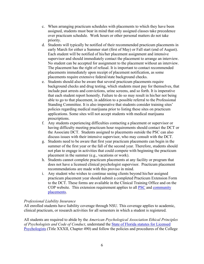- c. When arranging practicum schedules with placements to which they have been assigned, students must bear in mind that only assigned classes take precedence over practicum schedule. Work hours or other personal matters do not take priority.
- d. Students will typically be notified of their recommended practicum placements in early March for either a Summer start (first of May) or Fall start (end of August). Each student will be notified of his/her placement assignment and intensive supervisor and should immediately contact the placement to arrange an interview. No student can be accepted for assignment to the placement without an interview. The placement has the right of refusal. It is important to contact recommended placements immediately upon receipt of placement notification, as some placements require extensive federal/state background checks.
- e. Students should also be aware that several practicum placements require background checks and drug testing, which students must pay for themselves, that include past arrests and convictions, urine screens, and so forth. It is imperative that each student report honestly. Failure to do so may result in his/her not being able to go to that placement, in addition to a possible referral to the Professional Standing Committee. It is also imperative that students consider training sites' policies regarding medical marijuana prior to listing these sites on practicum applications. Some sites will not accept students with medical marijuana prescriptions.
- f. Any students experiencing difficulties contacting a placement or supervisor or having difficulty meeting practicum hour requirements should contact the DCT or the Associate DCT. Students assigned to placements outside the PSC can also discuss issues with their intensive supervisor, who may consult with the DCT.
- g. Students need to be aware that first year practicum placements can begin in the summer of the first year or the fall of the second year. Therefore, students should not plan to engage in activities that could compete with beginning the practicum placement in the summer (e.g., vacations or work).
- h. Students cannot complete practicum placements at any facility or program that does not have a licensed clinical psychologist supervisor. Practicum placement recommendations are made with this proviso in mind.
- i. Any student who wishes to continue seeing clients beyond his/her assigned practicum placement year should submit a completed Practicum Extension Form to the DCT. These forms are available in the Clinical Training Office and on the COP website. This extension requirement applies to all [PSC](https://psychology.nova.edu/common-pdf/studentresources/PSC_Extension_Form.pdf) and [community](https://psychology.nova.edu/common-pdf/studentresources/Non_Nova_Site_Extension_Form.pdf)  [placements.](https://psychology.nova.edu/common-pdf/studentresources/Non_Nova_Site_Extension_Form.pdf)

### *Professional Liability Insurance*

All enrolled students have liability coverage through NSU. This coverage applies to academic, clinical practicum, or research activities for all semesters in which a student is registered.

All students are required to abide by the *American Psychological Association Ethical Principles of Psychologists and Code of Conduct*, understand the [State of Florida statutes for Licensed](http://www.leg.state.fl.us/statutes/index.cfm?App_mode=Display_Statute&URL=0400-0499/0490/0490ContentsIndex.html&StatuteYear=2010&Title=%2D%3E2010%2D%3EChapter%20490)  [Psychologists](http://www.leg.state.fl.us/statutes/index.cfm?App_mode=Display_Statute&URL=0400-0499/0490/0490ContentsIndex.html&StatuteYear=2010&Title=%2D%3E2010%2D%3EChapter%20490) (Title XXXII, Chapter 490) and follow the policies and procedures of the College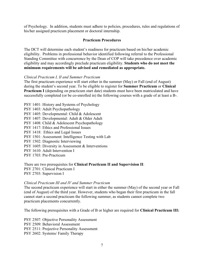of Psychology. In addition, students must adhere to policies, procedures, rules and regulations of his/her assigned practicum placement or doctoral internship.

### **Practicum Procedures**

The DCT will determine each student's readiness for practicum based on his/her academic eligibility. Problems in professional behavior identified following referral to the Professional Standing Committee with concurrence by the Dean of COP will take precedence over academic eligibility and may accordingly preclude practicum eligibility. **Students who do not meet the minimum requirements will be advised and remediated as appropriate.**

### *Clinical Practicum I, II and Summer Practicum*

The first practicum experience will start either in the summer (May) or Fall (end of August) during the student's second year. To be eligible to register for **Summer Practicum** or **Clinical Practicum I** (depending on practicum start date) students must have been matriculated and have successfully completed (or be co-enrolled in) the following courses with a grade of at least a B-.

PSY 1401: History and Systems of Psychology PSY 1403: Adult Psychopathology PSY 1405: Developmental: Child & Adolescent PSY 1407: Developmental: Adult & Older Adult PSY 1408: Child & Adolescent Psychopathology PSY 1417: Ethics and Professional Issues PSY 1418: Ethics and Legal Issues PSY 1501: Assessment: Intelligence Testing with Lab PSY 1502: Diagnostic Interviewing PSY 1605: Diversity in Assessment & Interventions PSY 1610: Adult Intervention I

PSY 1703: Pre-Practicum

There are two prerequisites for **Clinical Practicum II and Supervision II**: PSY 2701: Clinical Practicum I PSY 2703: Supervision I

### *Clinical Practicum III and IV and Summer Practicum*

The second practicum experience will start in either the summer (May) of the second year or Fall (end of August) of the third year. However, students who began their first practicum in the fall cannot start a second practicum the following summer, as students cannot complete two practicum placements concurrently.

The following prerequisites with a Grade of B or higher are required for **Clinical Practicum III:**

PSY 2507: Objective Personality Assessment PSY 2509: Behavioral Assessment PSY 2511: Projective Personality Assessment PSY 2602: Systems/ Family Therapy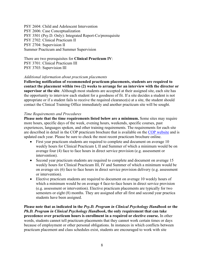PSY 2604: Child and Adolescent Intervention PSY 2606: Case Conceptualization PSY 3501 (Psy.D. Only): Integrated Report-Co/prerequisite PSY 2702: Clinical Practicum II PSY 2704: Supervision II Summer Practicum and Summer Supervision

There are two prerequisites for **Clinical Practicum IV**: PSY 3701: Clinical Practicum III PSY 3703: Supervision III

#### *Additional information about practicum placements*

**Following notification of recommended practicum placements, students are required to contact the placement within two (2) weeks to arrange for an interview with the director or supervisor at the site**. Although most students are accepted at their assigned site, each site has the opportunity to interview each student for a goodness of fit. If a site decides a student is not appropriate or if a student fails to receive the required clearance(s) at a site, the student should contact the Clinical Training Office immediately and another practicum site will be sought.

#### *Time Requirements and Procedures*

**Please note that the time requirements listed below are a minimum.** Some sites may require more hours, specific days of the week, evening hours, weekends, specific courses, past experiences, languages spoken, and other training requirements. The requirements for each site are described in detail in the COP practicum brochure that is available on the COP [website](https://psychology.nova.edu/students/current-students.html) and is updated each year. Please be sure to check the most recent practicum brochure online.

- First year practicum students are required to complete and document on average 10 weekly hours for Clinical Practicum I, II and Summer of which a minimum would be on average four (4) face to face hours in direct service provision (e.g. assessment or intervention).
- Second year practicum students are required to complete and document on average 15 weekly hours for Clinical Practicum III, IV and Summer of which a minimum would be on average six (6) face to face hours in direct service provision delivery (e.g. assessment or intervention).
- Elective practicum students are required to document on average 10 weekly hours of which a minimum would be on average 4 face-to-face hours in direct service provision (e.g. assessment or intervention). Elective practicum placements are typically for two semesters or eight (8) months. They are assigned after all first and second year practica students have been assigned.

**Please note that as indicated in the** *Psy.D. Program in Clinical Psychology Handbook* **or the** *Ph.D. Program in Clinical Psychology Handbook***, the only requirement that can take precedence over practicum hours is enrollment in a required or elective course.** In other words, students cannot tell practicum placements that they cannot work certain times or days because of employment or other personal obligations. In instances in which conflicts between practicum placement and class schedules exist, students are encouraged to work with site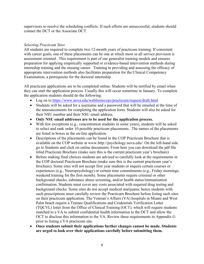supervisors to resolve the scheduling conflicts. If such efforts are unsuccessful, students should contact the DCT or the Associate DCT.

# *Selecting Practicum Sites*

All students are required to complete two 12-month years of practicum training. If consistent with career goals, one of these placements can be one at which most or all service provision is assessment oriented. This requirement is part of our generalist training models and ensures preparation for applying empirically supported or evidence-based intervention methods during internship training and the ensuing career. Training in providing and assessing the efficacy of appropriate intervention methods also facilitates preparation for the Clinical Competency Examination, a prerequisite for the doctoral internship.

All practicum applications are to be completed online. Students will be notified by email when they can start the application process. Usually this will occur sometime in January. To complete the application students should do the following:

- Log on to <https://www.nova.edu/webforms/cps/practicum/request/draft.html>
- Students will be asked for a username and a password that will be emailed at the time of the announcements for completing the application form. Students will also be asked for their NSU number and their NSU email address.
- **Only NSU email addresses are to be used for the application process.**
- With few exceptions (e.g., concentration students in some years), students will be asked to select and rank order 10 possible practicum placements. The names of the placements are listed in boxes in the on-line application.
- Descriptions of the placements can be found in the COP Practicum Brochure that is available on the COP website at www.http://psychology.nova.edu/. On the left-hand side go to Students and click on online documents. From here you can download the pdf file titled Practicum Brochure (make sure this is the current practicum year's brochure)
- Before making final choices students are advised to carefully look at the requirements in the COP doctoral Practicum Brochure (make sure this is the current practicum year's brochure). Some sites will not accept first year students or require certain courses or experiences (e.g., Neuropsychology) or certain time commitments (e.g., Friday mornings, weekend training for the first month). Some placements require criminal or other background checks, substance abuse screening, and/or health status/immunization confirmation. Students must cover any costs associated with required drug testing and background checks. Some sites do not accept medical marijuana; hence students with such prescriptions must carefully review the Practicum Brochure before listing such sites on their practicum application. The Veteran's Affairs (VA) hospitals in Miami and West Palm beach require a Trainee Qualifications and Credentials Verification Letter (TQCVL) letter from the Office of Clinical Training (OCT), which will require students matched to a VA to submit confidential health information to the OCT and allow the OCT to disclose this information to the VA. Review these requirements in Appendix G prior to listing a VA practicum site.
- **Once students submit their applications further changes cannot be made. Students are urged to look over their applications carefully before submitting them.**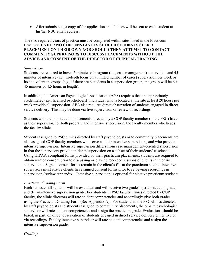• After submission, a copy of the application and choices will be sent to each student at his/her NSU email address.

# The two required years of practica must be completed within sites listed in the Practicum Brochure. **UNDER NO CIRCUMSTANCES SHOULD STUDENTS SEEK A PLACEMENT ON THEIR OWN NOR SHOULD THEY ATTEMPT TO CONTACT COMMUNITY SUPERVISORS TO DISCUSS PLACEMENTS WITHOUT THE ADVICE AND CONSENT OF THE DIRECTOR OF CLINICAL TRAINING.**

### *Supervision*

Students are required to have 45 minutes of program (i.e., case management) supervision and 45 minutes of intensive (i.e., in-depth focus on a limited number of cases) supervision per week or its equivalent in groups (e.g., if there are 6 students in a supervision group, the group will be 6 x 45 minutes or 4.5 hours in length).

In addition, the American Psychological Association (APA) requires that an appropriately credentialed (i.e., licensed psychologist) individual who is located at the site at least 20 hours per week provide all supervision. APA also requires direct observation of students engaged in direct service delivery. This may be done via live supervision or review of recordings.

Students who are in practicum placements directed by a COP faculty member (in the PSC) have as their supervisor, for both program and intensive supervision, the faculty member who heads the faculty clinic.

Students assigned to PSC clinics directed by staff psychologists or to community placements are also assigned COP faculty members who serve as their intensive supervisors, and who provide intensive supervision. Intensive supervision differs from case management-oriented supervision in that the supervisors provide in-depth supervision on a subset of their students' caseloads. Using HIPAA-compliant forms provided by their practicum placements, students are required to obtain written consent prior to discussing or playing recorded sessions of clients in intensive supervision. Signed consent forms remain in the client's file at the practicum site but intensive supervisors must ensure clients have signed consent forms prior to reviewing recordings in supervision (review Appendix . Intensive supervision is optional for elective practicum students.

# *Practicum Grading Form*

Each semester all students will be evaluated and will receive two grades: (a) a practicum grade, and (b) an intensive supervision grade. For students in PSC faculty clinics directed by COP faculty, the clinic directors will rate student competencies and accordingly give both grades using the Practicum Grading Form (See Appendix A). For students in the PSC clinics directed by staff psychologists and students assigned to community placements, the on-site psychologist supervisor will rate student competencies and assign the practicum grade. Evaluations should be based, in part, on direct observation of students engaged in direct service delivery either live or via recordings. Faculty intensive supervisor will rate student competencies and assign the intensive supervision grade.

# *Grading*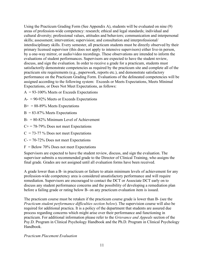Using the Practicum Grading Form (See Appendix A), students will be evaluated on nine (9) areas of profession-wide competency: research; ethical and legal standards; individual and cultural diversity; professional values, attitudes and behaviors; communication and interpersonal skills; assessment; intervention; supervision; and consultation and interprofessional/ interdisciplinary skills. Every semester, all practicum students must be directly observed by their primary licensed supervisor (this does not apply to intensive supervisors) either live-in person, by a one-way mirror, or audio/video recordings. These observations are intended to inform the evaluations of student performances. Supervisors are expected to have the student review, discuss, and sign the evaluation. In order to receive a grade for a practicum, students must satisfactorily demonstrate competencies as required by the practicum site and complete all of the practicum site requirements (e.g., paperwork, reports etc.), and demonstrate satisfactory performance on the Practicum Grading Form. Evaluations of the delineated competencies will be assigned according to the following system: Exceeds or Meets Expectations, Meets Minimal Expectations, or Does Not Meet Expectations, as follows:

- $A = 93-100\%$  Meets or Exceeds Expectations
- A- = 90-92% Meets or Exceeds Expectations

 $B<sup>+</sup> = 88-89%$  Meets Expectations

- $B = 83-87%$  Meets Expectations
- $B = 80-82\%$  Minimum Level of Achievement
- $C_{+}$  = 78-79% Does not meet Expectations
- $C = 73-77$  % Does not meet Expectations
- $C = 70-72\%$  Does not meet Expectations
- $F =$  Below 70% Does not meet Expectations

Supervisors are expected to have the student review, discuss, and sign the evaluation. The supervisor submits a recommended grade to the Director of Clinical Training, who assigns the final grade. Grades are not assigned until all evaluation forms have been received.

A grade lower than a B- in practicum or failure to attain minimum levels of achievement for any profession-wide competency area is considered unsatisfactory performance and will require remediation. Supervisors are encouraged to contact the DCT or Associate DCT early on to discuss any student performance concerns and the possibility of developing a remediation plan before a failing grade or rating below B- on any practicum evaluation item is issued.

The practicum course must be retaken if the practicum course grade is lower than B- (see the *Practicum student performance difficulties section below*). The supervision course will also be required for additional practica. It is a policy of the department that students are assured due process regarding concerns which might arise over their performance and functioning in practicum. For additional information please refer to the *Grievance and Appeals* section of the Psy.D. Program in Clinical Psychology Handbook and the Ph.D. Program in Clinical Psychology Handbook.

### *Practicum Placement Evaluation*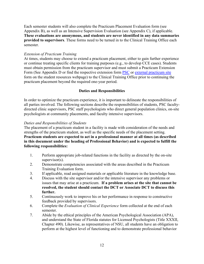Each semester students will also complete the Practicum Placement Evaluation form (see Appendix B), as well as an Intensive Supervision Evaluation (see Appendix C), if applicable. **These evaluations are anonymous, and students are never identified in any data summaries provided to supervisors**. These forms need to be turned in to the Clinical Training Office each semester.

# *Extension of Practicum Training*

At times, students may choose to extend a practicum placement, either to gain further experience or continue treating specific clients for training purposes (e.g., to develop CCE cases). Students must obtain permission from the practicum supervisor and must submit a Practicum Extension Form (See Appendix D or find the respective extension form [PSC](https://psychology.nova.edu/common-pdf/studentresources/PSC_Extension_Form.pdf) or [external practicum site](https://psychology.nova.edu/common-pdf/studentresources/Non_Nova_Site_Extension_Form.pdf)  form on the student resources webpage) to the Clinical Training Office prior to continuing the practicum placement beyond the required one-year period.

# **Duties and Responsibilities**

In order to optimize the practicum experience, it is important to delineate the responsibilities of all parties involved. The following sections describe the responsibilities of students, PSC facultydirected clinic supervisors, PSC staff psychologists who direct general population clinics, on-site psychologists at community placements, and faculty intensive supervisors.

### *Duties and Responsibilities of Students*

The placement of a practicum student in a facility is made with consideration of the needs and strengths of the practicum student, as well as the specific needs of the placement setting. **Practicum students are expected to act in a professional manner at all times (as described in this document under the heading of Professional Behavior) and is expected to fulfill the following responsibilities:**

- 1. Perform appropriate job-related functions in the facility as directed by the on-site supervisor(s).
- 2. Demonstrate competencies associated with the areas described in the Practicum Training Evaluation form.
- 3. If applicable, read assigned materials or applicable literature in the knowledge base.
- 4. Discuss with the site supervisor and/or the intensive supervisor any problems or issues that may arise at a practicum. **If a problem arises at the site that cannot be resolved, the student should contact the DCT or Associate DCT to discuss this further.**
- 5. Continuously work to improve his or her performance in response to constructive feedback provided by supervisors.
- 6. Complete the *Evaluation of Clinical Experience* form collected at the end of each semester.
- 7. Abide by the ethical principles of the American Psychological Association (APA), and understand the State of Florida statutes for Licensed Psychologists (Title XXXII, Chapter 490). Likewise, as representatives of NSU, all students have an obligation to perform at the highest level of functioning and to demonstrate professional behavior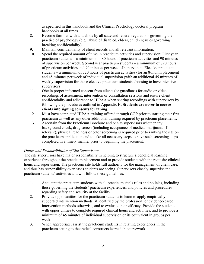as specified in this handbook and the Clinical Psychology doctoral program handbooks at all times.

- 8. Become familiar with and abide by all state and federal regulations governing the practice of psychology (e.g., abuse of disabled, elders, children; rules governing breaking confidentiality).
- 9. Maintain confidentiality of client records and all relevant information.
- 10. Spend the required amount of time in practicum activities and supervision: First year practicum students – a minimum of 480 hours of practicum activities and 90 minutes of supervision per week. Second year practicum students – a minimum of 720 hours of practicum activities and 90 minutes per week of supervision. Elective practicum students – a minimum of 320 hours of practicum activities (for an 8-month placement and 45 minutes per week of individual supervision (with an additional 45 minutes of weekly supervision for those elective practicum students choosing to have intensive supervisors).
- 11. Obtain proper informed consent from clients (or guardians) for audio or video recordings of assessment, intervention or consultation sessions and ensure client confidentiality and adherence to HIPAA when sharing recordings with supervisors by following the procedures outlined in Appendix H. **Students are never to coerce clients into signing consents for taping.**
- 12. Must have completed HIPAA training offered through COP prior to starting their first practicum as well as any other additional training required by practicum placements.
- 13. Ascertain from the Practicum Brochure and or site supervisors whether any background check, drug screen (including acceptance of medical marijuana, if relevant), physical readiness or other screening is required prior to ranking the site on the practicum application and to take all necessary steps to have such screening steps completed in a timely manner prior to beginning the placement.

# *Duties and Responsibilities of Site Supervisors*

The site supervisors have major responsibility in helping to structure a beneficial learning experience throughout the practicum placement and to provide students with the requisite clinical hours and supervision. The practicum site holds full authority for the management of client care, and thus has responsibility over cases students are seeing. Supervisors closely supervise the practicum students' activities and will follow these guidelines:

- 1. Acquaint the practicum students with all practicum site's rules and policies, including those governing the students' practicum experiences, and policies and procedures regarding safety and security at the facility.
- 2. Provide opportunities for the practicum students to learn to apply empirically supported intervention methods (if identified by the profession) or evidence-based intervention methods otherwise, and to evaluate their efficacy. Provide the students with opportunities to complete required clinical hours and activities, and to provide a minimum of 45 minutes of individual supervision or its equivalent in groups per week.
- 3. When appropriate, assist the practicum students in relating experiences in the practicum setting to theoretical constructs learned in coursework.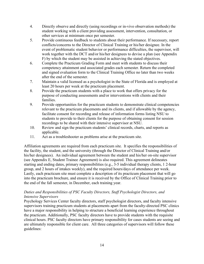- 4. Directly observe and directly (using recordings or in-vivo observation methods) the student working with a client providing assessment, intervention, consultation, or other services at minimum once per semester.
- 5. Provide continuous feedback to students about their performance. If necessary, report conflicts/concerns to the Director of Clinical Training or his/her designee. In the event of problematic student behavior or performance difficulties, the supervisor, will work together with the DCT and/or his/her designees to devise a plan (see Appendix F) by which the student may be assisted in achieving the stated objectives.
- 6. Complete the Practicum Grading Form and meet with students to discuss their competency attainment and associated grades each semester. Return the completed and signed evaluation form to the Clinical Training Office no later than two weeks after the end of the semester.
- 7. Maintain a valid licensed as a psychologist in the State of Florida and is employed at least 20 hours per week at the practicum placement.
- 8. Provide the practicum students with a place to work that offers privacy for the purpose of conducting assessments and/or interventions with clients and their families.
- 9. Provide opportunities for the practicum students to demonstrate clinical competencies relevant to the practicum placements and its clients, and if allowable by the agency, facilitate consent for recording and release of information forms listing NSU to students to provide to their clients for the purpose of obtaining consent for session recordings to be shared with their intensive supervisor at NSU.
- 10. Review and sign the practicum students' clinical records, charts, and reports as applicable.
- 11. Act as a troubleshooter as problems arise at the practicum site.

Affiliation agreements are required from each practicum site. It specifies the responsibilities of the facility, the student, and the university (through the Director of Clinical Training and/or his/her designees). An individual agreement between the student and his/her on-site supervisor (see Appendix E, Student Trainee Agreement) is also required. This agreement delineates starting and ending dates, primary responsibilities (e.g., 3-5 individual therapy clients, 1 2-hour group, and 2 hours of intakes weekly), and the required hours/days of attendance per week. Lastly, each practicum site must complete a description of its practicum placement that will go into the practicum brochure, and ensure it is received by the Office of Clinical Training prior to the end of the fall semester, in December, each training year.

# *Duties and Responsibilities of PSC Faculty Directors, Staff Psychologist Directors, and Intensive Supervisors*

Psychology Services Center faculty directors, staff psychologist directors, and faculty intensive supervisors training practicum students at placements apart from the faculty-directed PSC clinics have a major responsibility in helping to structure a beneficial learning experience throughout the practicum. Additionally, PSC faculty directors have to provide students with the requisite clinical hours. PSC faculty directors have primary responsibility for cases students are seeing and are ultimately responsible for client care. All three categories of supervisors will follow these guidelines: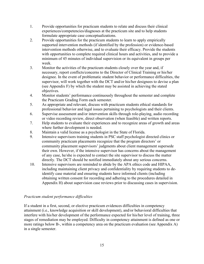- 1. Provide opportunities for practicum students to relate and discuss their clinical experiences/competencies/diagnoses at the practicum site and to help students formulate appropriate case conceptualizations.
- 2. Provide opportunities for the practicum students to learn to apply empirically supported intervention methods (if identified by the profession) or evidence-based intervention methods otherwise, and to evaluate their efficacy. Provide the students with opportunities to complete required clinical hours and activities, and to provide a minimum of 45 minutes of individual supervision or its equivalent in groups per week.
- 3. Monitor the activities of the practicum students closely over the year and, if necessary, report conflicts/concerns to the Director of Clinical Training or his/her designee. In the event of problematic student behavior or performance difficulties, the supervisor, will work together with the DCT and/or his/her designees to devise a plan (see Appendix F) by which the student may be assisted in achieving the stated objectives.
- 4. Monitor students' performance continuously throughout the semester and complete the Practicum Grading Form each semester.
- 5. As appropriate and relevant, discuss with practicum students ethical standards for professional behavior and legal issues pertaining to psychologists and their clients.
- 6. Supervise assessment and/or intervention skills through role-playing, audio recording or video recording review, direct observation (when feasible) and written reports.
- 7. Help students to evaluate their experiences and to recognize areas of growth and areas where further development is needed.
- 8. Maintain a valid license as a psychologist in the State of Florida.
- 9. Intensive supervisors training students in PSC staff psychologist directed clinics or community practicum placements recognize that the program directors' or community placement supervisors' judgments about client management supersede their own. However, if the intensive supervisor has concerns about the management of any case, he/she is expected to contact the site supervisor to discuss the matter directly. The DCT should be notified immediately about any serious concerns.
- 10. Intensive supervisors are reminded to abide by the APA ethics code and HIPAA, including maintaining client privacy and confidentiality by requiring students to deidentify case material and ensuring students have informed clients (including obtaining written consent for recording and adhering to the procedures detailed in Appendix H) about supervision case reviews prior to discussing cases in supervision.

# *Practicum student performance difficulties*

If a student in a first, second, or elective practicum evidences difficulties in competency attainment (i.e., knowledge acquisition or skill development), and/or behavioral difficulties that interfere with his/her development of the performance expected for his/her level of training, three stages of remediation may be employed. Difficulty in competency attainment is defined as one or more ratings below B-, within a competency area on the practicum evaluation (see Appendix A) in a single semester.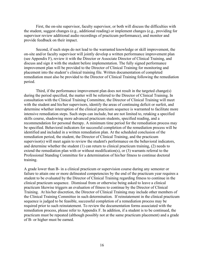First, the on-site supervisor, faculty supervisor, or both will discuss the difficulties with the student, suggest changes (e.g., additional reading) or implement changes (e.g., providing for supervisor review additional audio recordings of practicum performance), and monitor and provide feedback on their impact.

Second, if such steps do not lead to the warranted knowledge or skill improvement, the on-site and/or faculty supervisor will jointly develop a written performance improvement plan (see Appendix F), review it with the Director or Associate Director of Clinical Training, and discuss and sign it with the student before implementation. The fully signed performance improvement plan will be provided to the Director of Clinical Training for monitoring and placement into the student's clinical training file. Written documentation of completed remediation must also be provided to the Director of Clinical Training following the remediation period.

Third, if the performance improvement plan does not result in the targeted change(s) during the period specified, the matter will be referred to the Director of Clinical Training. In consultation with the Clinical Training Committee, the Director of Clinical Training will meet with the student and his/her supervisors, identify the areas of continuing deficit or surfeit, and determine whether interruption of the clinical practicum sequence is warranted to facilitate more intensive remediation steps. Such steps can include, but are not limited to, retaking a specified skills course, shadowing more advanced practicum students, specified reading, and a recommendation for personal therapy. A minimum time period for the remediation process may be specified. Behavioral indicators for successful completion of the remediation process will be identified and included in a written remediation plan. At the scheduled conclusion of the remediation period, the student, the Director of Clinical Training, and the practicum supervisor(s) will meet again to review the student's performance on the behavioral indicators, and determine whether the student (1) can return to clinical practicum training, (2) needs to extend the remediation plan with or without modification(s), or (3) warrants referral to the Professional Standing Committee for a determination of his/her fitness to continue doctoral training.

A grade lower than B- in a clinical practicum or supervision course during any semester or failure to attain one or more delineated competencies by the end of the practicum year requires a student to be evaluated by the Director of Clinical Training regarding fitness to continue in the clinical practicum sequence. Dismissal from or otherwise being asked to leave a clinical practicum likewise triggers an evaluation of fitness to continue by the Director of Clinical Training. At his/her discretion, the Director of Clinical Training may include other members of the Clinical Training Committee in such determination. If reinstatement in the clinical practicum sequence is judged to be feasible, successful completion of a remediation process may be required prior to such reinstatement. To review the documentation forms associated with the remediation process, please refer to Appendix F. In addition, if a student is to be continued, the practicum must be repeated (although possibly not at the same practicum placement) and a grade of B- or higher must be earned.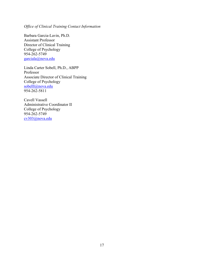*Office of Clinical Training Contact Information* 

Barbara Garcia-Lavin, Ph.D. Assistant Professor Director of Clinical Training College of Psychology 954-262-5749 [garciala@nova.edu](mailto:garciala@nova.edu)

Linda Carter Sobell, Ph.D., ABPP Professor Associate Director of Clinical Training College of Psychology [sobelll@nova.edu](mailto:sobelll@nova.edu) 954-262-5811

Cavell Vassell Administrative Coordinator II College of Psychology 954-262-5749 [cv303@nova.edu](mailto:cv303@nova.edu)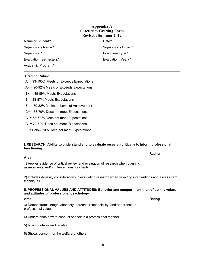### **Appendix A Practicum Grading Form Revised: Summer 2019**

| Name of Student:*       | $Date:$ <sup>*</sup> |
|-------------------------|----------------------|
| Supervisor's Name:*     | Supervisor's Email:* |
| Supervisor:*            | Practicum Type:*     |
| Evaluation (Semester):* | Evaluation (Year):*  |
| Academic Program:*      |                      |

#### **Grading Rubric**

A = 93-100% Meets or Exceeds Expectations

- A- = 90-92% Meets or Exceeds Expectations
- B+ = 88-89% Meets Expectations
- B = 83-87% Meets Expectations
- B- = 80-82% Minimum Level of Achievement
- C+ = 78-79% Does not meet Expectations
- C = 73-77 % Does not meet Expectations
- C- = 70-72% Does not meet Expectations
- F = Below 70% Does not meet Expectations

#### **I. RESEARCH: Ability to understand and to evaluate research critically to inform professional functioning.**

#### **Area**

1) Applies evidence of critical review and evaluation of research when planning assessments and/or interventions for clients.

2) Includes diversity considerations in evaluating research when selecting interventions and assessment techniques.

#### **II. PROFESSIONAL VALUES AND ATTITUDES: Behavior and comportment that reflect the values and attitudes of professional psychology**

3) Demonstrates integrity/honesty, personal responsibility, and adherence to professional values.

4) Understands how to conduct oneself in a professional manner.

- 5) Is accountable and reliable.
- 6) Shows concern for the welfare of others.

#### **Area Rating**

**Rating**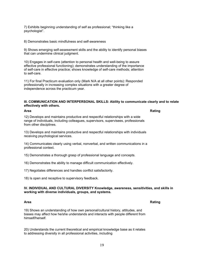7) Exhibits beginning understanding of self as professional; "thinking like a psychologist".

8) Demonstrates basic mindfulness and self-awareness

9) Shows emerging self-assessment skills and the ability to identify personal biases that can undermine clinical judgment.

10) Engages in self-care (attention to personal health and well-being to assure effective professional functioning); demonstrates understanding of the importance of self-care in effective practice; shows knowledge of self-care methods; attention to self-care.

11) For final Practicum evaluation only (Mark N/A at all other points): Responded professionally in increasing complex situations with a greater degree of independence across the practicum year.

#### **III. COMMUNICATION AND INTERPERSONAL SKILLS: Ability to communicate clearly and to relate effectively with others.**

**Area Rating**

12) Develops and maintains productive and respectful relationships with a wide range of individuals, including colleagues, supervisors, supervisees, professionals from other disciplines.

13) Develops and maintains productive and respectful relationships with individuals receiving psychological services.

14) Communicates clearly using verbal, nonverbal, and written communications in a professional context.

15) Demonstrates a thorough grasp of professional language and concepts.

16) Demonstrates the ability to manage difficult communication effectively.

17) Negotiates differences and handles conflict satisfactorily.

18) Is open and receptive to supervisory feedback.

#### **IV. INDIVIDUAL AND CULTURAL DIVERSITY Knowledge, awareness, sensitivities, and skills in working with diverse individuals, groups, and systems.**

19) Shows an understanding of how own personal/cultural history, attitudes, and biases may affect how he/she understands and interacts with people different from himself/herself.

20) Understands the current theoretical and empirical knowledge base as it relates to addressing diversity in all professional activities, including

#### **Area Rating**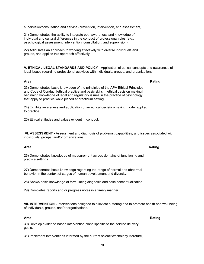supervision/consultation and service (prevention, intervention, and assessment).

21) Demonstrates the ability to integrate both awareness and knowledge of individual and cultural differences in the conduct of professional roles (e.g., psychological assessment, intervention, consultation, and supervision).

22) Articulates an approach to working effectively with diverse individuals and groups, and applies this approach effectively.

**V. ETHICAL LEGAL STANDARDS AND POLICY -** Application of ethical concepts and awareness of legal issues regarding professional activities with individuals, groups, and organizations.

23) Demonstrates basic knowledge of the principles of the APA Ethical Principles and Code of Conduct [ethical practice and basic skills in ethical decision making]; beginning knowledge of legal and regulatory issues in the practice of psychology that apply to practice while placed at practicum setting.

24) Exhibits awareness and application of an ethical decision-making model applied to practice.

25) Ethical attitudes and values evident in conduct.

**VI. ASSESSMENT -** Assessment and diagnosis of problems, capabilities, and issues associated with individuals, groups, and/or organizations.

26) Demonstrates knowledge of measurement across domains of functioning and practice settings.

27) Demonstrates basic knowledge regarding the range of normal and abnormal behavior in the context of stages of human development and diversity.

28) Shows basic knowledge of formulating diagnosis and case conceptualization.

29) Completes reports and or progress notes in a timely manner

**VII. INTERVENTION -** Interventions designed to alleviate suffering and to promote health and well-being of individuals, groups, and/or organizations*.*

30) Develop evidence-based intervention plans specific to the service delivery goals.

31) Implement interventions informed by the current scientific/scholarly literature,

#### **Area Rating**

# **Area Rating**

#### **Area Rating**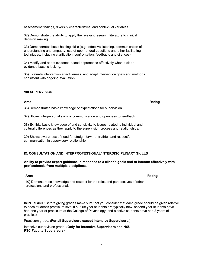assessment findings, diversity characteristics, and contextual variables.

32) Demonstrate the ability to apply the relevant research literature to clinical decision making.

33) Demonstrates basic helping skills (e.g., effective listening, communication of understanding and empathy, use of open-ended questions and other facilitating techniques, including clarification, confrontation, feedback, and silences).

34) Modify and adapt evidence-based approaches effectively when a clear evidence-base is lacking.

35) Evaluate intervention effectiveness, and adapt intervention goals and methods consistent with ongoing evaluation.

#### **VIII.SUPERVISION**

#### **Area Rating**

36) Demonstrates basic knowledge of expectations for supervision.

37) Shows interpersonal skills of communication and openness to feedback.

38) Exhibits basic knowledge of and sensitivity to issues related to individual and cultural differences as they apply to the supervision process and relationships.

39) Shows awareness of need for straightforward, truthful, and respectful communication in supervisory relationship.

#### **IX. CONSULTATION AND INTERPROFESSIONAL/INTERDISCIPLINARY SKILLS**

#### **Ability to provide expert guidance in response to a client's goals and to interact effectively with professionals from multiple disciplines.**

40) Demonstrates knowledge and respect for the roles and perspectives of other professions and professionals.

**IMPORTANT**: Before giving grades make sure that you consider that each grade should be given relative to each student's practicum level (i.e., first year students are typically new, second year students have had one year of practicum at the College of Psychology, and elective students have had 2 years of practica)

Practicum grade: (**For all Supervisors except Intensive Supervisors.**)

Intensive supervision grade: (**Only for Intensive Supervisors and NSU PSC Faculty Supervisors**)

#### **Area Rating**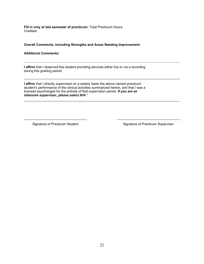**Fill in only at last semester of practicum:** Total Practicum Hours Credited:

**Overall Comments, Including Strengths and Areas Needing Improvement:** 

#### **Additional Comments:**

**I affirm** that I observed this student providing services either live or via a recording during this grading period.

**I affirm** that I directly supervised on a weekly basis the above named practicum student's performance of the clinical activities summarized herein, and that I was a licensed psychologist for the entirety of that supervision period. *If you are an intensive supervisor, please select N/A*.\*

\_\_\_\_\_\_\_\_\_\_\_\_\_\_\_\_\_\_\_\_\_\_\_\_\_\_\_\_\_\_\_\_\_\_ \_\_\_\_\_\_\_\_\_\_\_\_\_\_\_\_\_\_\_\_\_\_\_\_\_\_\_\_\_\_\_\_\_\_

Signature of Practicum Student Signature of Practicum Supervisor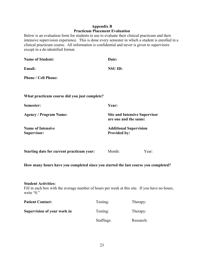# **Appendix B Practicum Placement Evaluation**

Below is an evaluation form for students to use to evaluate their clinical practicum and their intensive supervision experience. This is done every semester in which a student is enrolled in a clinical practicum course. All information is confidential and never is given to supervisors except in a de-identified format.

| <b>Name of Student:</b>                                                                                                                    | Date:               |                                                               |  |
|--------------------------------------------------------------------------------------------------------------------------------------------|---------------------|---------------------------------------------------------------|--|
| Email:                                                                                                                                     | <b>NSU ID:</b>      |                                                               |  |
| <b>Phone / Cell Phone:</b>                                                                                                                 |                     |                                                               |  |
|                                                                                                                                            |                     |                                                               |  |
| What practicum course did you just complete?                                                                                               |                     |                                                               |  |
| Semester:                                                                                                                                  | Year:               |                                                               |  |
| <b>Agency / Program Name:</b>                                                                                                              |                     | <b>Site and Intensive Supervisor</b><br>are one and the same: |  |
| <b>Name of Intensive</b><br><b>Supervisor:</b>                                                                                             | <b>Provided by:</b> | <b>Additional Supervision</b>                                 |  |
| Starting date for current practicum year:                                                                                                  | Month:              | Year:                                                         |  |
| How many hours have you completed since you started the last course you completed?                                                         |                     |                                                               |  |
| <b>Student Activities:</b><br>Fill in each box with the average number of hours per week at this site. If you have no hours,<br>write "0." |                     |                                                               |  |
| <b>Patient Contact:</b>                                                                                                                    | Testing:            | Therapy:                                                      |  |
| Supervision of your work in                                                                                                                | Testing:            | Therapy:                                                      |  |

Staffings: Research: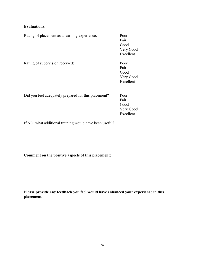# **Evaluations:**

| Rating of placement as a learning experience:        | Poor<br>Fair<br>Good<br>Very Good<br>Excellent |
|------------------------------------------------------|------------------------------------------------|
| Rating of supervision received:                      | Poor<br>Fair<br>Good<br>Very Good<br>Excellent |
| Did you feel adequately prepared for this placement? | Poor<br>Fair<br>Good<br>Very Good<br>Excellent |

If NO, what additional training would have been useful?

# **Comment on the positive aspects of this placement:**

**Please provide any feedback you feel would have enhanced your experience in this placement.**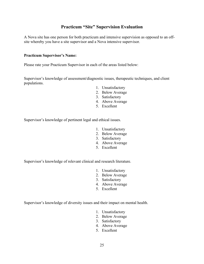# **Practicum "Site" Supervision Evaluation**

A Nova site has one person for both practicum and intensive supervision as opposed to an offsite whereby you have a site supervisor and a Nova intensive supervisor.

### **Practicum Supervisor's Name:**

Please rate your Practicum Supervisor in each of the areas listed below:

Supervisor's knowledge of assessment/diagnostic issues, therapeutic techniques, and client populations.

- 1. Unsatisfactory
- 2. Below Average
- 3. Satisfactory
- 4. Above Average
- 5. Excellent

Supervisor's knowledge of pertinent legal and ethical issues.

- 1. Unsatisfactory
- 2. Below Average
- 3. Satisfactory
- 4. Above Average
- 5. Excellent

Supervisor's knowledge of relevant clinical and research literature.

- 1. Unsatisfactory
- 2. Below Average
- 3. Satisfactory
- 4. Above Average
- 5. Excellent

Supervisor's knowledge of diversity issues and their impact on mental health.

- 1. Unsatisfactory
- 2. Below Average
- 3. Satisfactory
- 4. Above Average
- 5. Excellent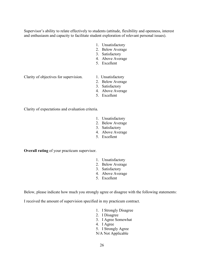Supervisor's ability to relate effectively to students (attitude, flexibility and openness, interest and enthusiasm and capacity to facilitate student exploration of relevant personal issues).

- 1. Unsatisfactory
- 2. Below Average
- 3. Satisfactory
- 4. Above Average
- 5. Excellent

Clarity of objectives for supervision. 1. Unsatisfactory

- 2. Below Average
- 3. Satisfactory
- 4. Above Average
- 5. Excellent

Clarity of expectations and evaluation criteria.

- 1. Unsatisfactory
- 2. Below Average
- 3. Satisfactory
- 4. Above Average
- 5. Excellent

**Overall rating** of your practicum supervisor.

- 1. Unsatisfactory
- 2. Below Average
- 3. Satisfactory
- 4. Above Average
- 5. Excellent

Below, please indicate how much you strongly agree or disagree with the following statements:

I received the amount of supervision specified in my practicum contract.

- 1. I Strongly Disagree
- 2. I Disagree
- 3. I Agree Somewhat
- 4. I Agree
- 5. I Strongly Agree
- N/A Not Applicable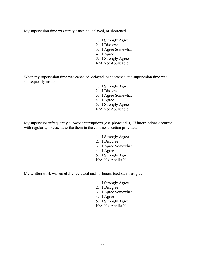My supervision time was rarely canceled, delayed, or shortened.

- 1. I Strongly Agree
- 2. I Disagree
- 3. I Agree Somewhat
- 4. I Agree
- 5. I Strongly Agree
- N/A Not Applicable

When my supervision time was canceled, delayed, or shortened, the supervision time was subsequently made up.

> 1. I Strongly Agree 2. I Disagree 3. I Agree Somewhat 4. I Agree 5. I Strongly Agree N/A Not Applicable

My supervisor infrequently allowed interruptions (e.g. phone calls). If interruptions occurred with regularity, please describe them in the comment section provided.

- 1. I Strongly Agree
- 2. I Disagree
- 3. I Agree Somewhat
- 4. I Agree
- 5. I Strongly Agree
- N/A Not Applicable

My written work was carefully reviewed and sufficient feedback was given.

- 1. I Strongly Agree
- 2. I Disagree
- 3. I Agree Somewhat
- 4. I Agree
- 5. I Strongly Agree
- N/A Not Applicable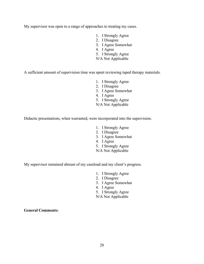My supervisor was open to a range of approaches to treating my cases.

- 1. I Strongly Agree
- 2. I Disagree
- 3. I Agree Somewhat
- 4. I Agree
- 5. I Strongly Agree
- N/A Not Applicable

A sufficient amount of supervision time was spent reviewing taped therapy materials.

1. I Strongly Agree 2. I Disagree 3. I Agree Somewhat 4. I Agree 5. I Strongly Agree N/A Not Applicable

Didactic presentations, when warranted, were incorporated into the supervision.

- 1. I Strongly Agree
- 2. I Disagree
- 3. I Agree Somewhat
- 4. I Agree
- 5. I Strongly Agree
- N/A Not Applicable

My supervisor remained abreast of my caseload and my client's progress.

- 1. I Strongly Agree
- 2. I Disagree
- 3. I Agree Somewhat
- 4. I Agree
- 5. I Strongly Agree

N/A Not Applicable

**General Comments:**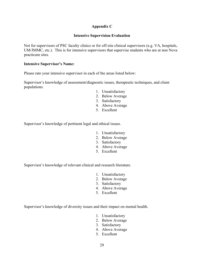# **Appendix C**

# **Intensive Supervision Evaluation**

Not for supervisors of PSC faculty clinics or for off-site clinical supervisors (e.g. VA, hospitals, UM/JMMC, etc.). This is for intensive supervisors that supervise students who are at non Nova practicum sites.

### **Intensive Supervisor's Name:**

Please rate your intensive supervisor in each of the areas listed below:

Supervisor's knowledge of assessment/diagnostic issues, therapeutic techniques, and client populations.

- 1. Unsatisfactory
- 2. Below Average
- 3. Satisfactory
- 4. Above Average
- 5. Excellent

Supervisor's knowledge of pertinent legal and ethical issues.

- 1. Unsatisfactory
- 2. Below Average
- 3. Satisfactory
- 4. Above Average
- 5. Excellent

Supervisor's knowledge of relevant clinical and research literature.

- 1. Unsatisfactory
- 2. Below Average
- 3. Satisfactory
- 4. Above Average
- 5. Excellent

Supervisor's knowledge of diversity issues and their impact on mental health.

- 1. Unsatisfactory
- 2. Below Average
- 3. Satisfactory
- 4. Above Average
- 5. Excellent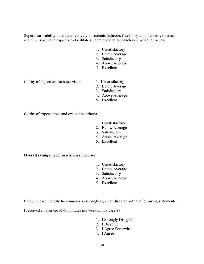Supervisor's ability to relate effectively to students (attitude, flexibility and openness, interest and enthusiasm and capacity to facilitate student exploration of relevant personal issues).

- 1. Unsatisfactory
- 2. Below Average
- 3. Satisfactory
- 4. Above Average
- 5. Excellent

Clarity of objectives for supervision. 1. Unsatisfactory

- 
- 2. Below Average
- 3. Satisfactory
- 4. Above Average
- 5. Excellent

Clarity of expectations and evaluation criteria.

- 1. Unsatisfactory
- 2. Below Average
- 3. Satisfactory
- 4. Above Average
- 5. Excellent

**Overall rating** of your practicum supervisor.

- 1. Unsatisfactory
- 2. Below Average
- 3. Satisfactory
- 4. Above Average
- 5. Excellent

Below, please indicate how much you strongly agree or disagree with the following statements:

I received an average of 45 minutes per week on my case(s).

- 1. I Strongly Disagree
- 2. I Disagree
- 3. I Agree Somewhat
- 4. I Agree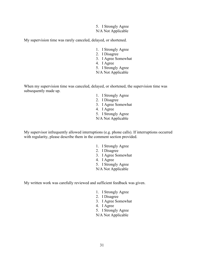5. I Strongly Agree N/A Not Applicable

My supervision time was rarely canceled, delayed, or shortened.

- 1. I Strongly Agree
- 2. I Disagree
- 3. I Agree Somewhat
- 4. I Agree
- 5. I Strongly Agree
- N/A Not Applicable

When my supervision time was canceled, delayed, or shortened, the supervision time was subsequently made up.

- 1. I Strongly Agree
- 2. I Disagree
- 3. I Agree Somewhat
- 4. I Agree
- 5. I Strongly Agree
- N/A Not Applicable

My supervisor infrequently allowed interruptions (e.g. phone calls). If interruptions occurred with regularity, please describe them in the comment section provided.

- 1. I Strongly Agree
- 2. I Disagree
- 3. I Agree Somewhat
- 4. I Agree
- 5. I Strongly Agree
- N/A Not Applicable

My written work was carefully reviewed and sufficient feedback was given.

- 1. I Strongly Agree
- 2. I Disagree
- 3. I Agree Somewhat
- 4. I Agree
- 5. I Strongly Agree
- N/A Not Applicable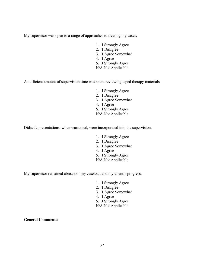My supervisor was open to a range of approaches to treating my cases.

- 1. I Strongly Agree
- 2. I Disagree
- 3. I Agree Somewhat
- 4. I Agree
- 5. I Strongly Agree
- N/A Not Applicable

A sufficient amount of supervision time was spent reviewing taped therapy materials.

- 1. I Strongly Agree
- 2. I Disagree
- 3. I Agree Somewhat
- 4. I Agree
- 5. I Strongly Agree
- N/A Not Applicable

Didactic presentations, when warranted, were incorporated into the supervision.

- 1. I Strongly Agree
- 2. I Disagree
- 3. I Agree Somewhat
- 4. I Agree
- 5. I Strongly Agree
- N/A Not Applicable

My supervisor remained abreast of my caseload and my client's progress.

- 1. I Strongly Agree
- 2. I Disagree
- 3. I Agree Somewhat
- 4. I Agree
- 5. I Strongly Agree
- N/A Not Applicable

**General Comments:**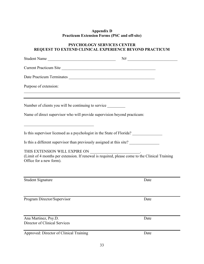# **Appendix D Practicum Extension Forms (PSC and off-site)**

# **PSYCHOLOGY SERVICES CENTER REQUEST TO EXTEND CLINICAL EXPERIENCE BEYOND PRACTICUM**

| Student Name                                                                                                                                                                                   |                                                                                                                                 |
|------------------------------------------------------------------------------------------------------------------------------------------------------------------------------------------------|---------------------------------------------------------------------------------------------------------------------------------|
| Current Practicum Site                                                                                                                                                                         |                                                                                                                                 |
| Date Practicum Terminates                                                                                                                                                                      |                                                                                                                                 |
| Purpose of extension:<br><u> 1989 - Jan Samuel Barbara, martin da shekara ta 1989 - Andrea Samuel Barbara, marka ta 1989 - Andrea Samuel B</u>                                                 |                                                                                                                                 |
| Number of clients you will be continuing to service                                                                                                                                            |                                                                                                                                 |
| Name of direct supervisor who will provide supervision beyond practicum:                                                                                                                       |                                                                                                                                 |
| <u> 1989 - Johann Stein, marwolaethau a bhann an t-Amhair an t-Amhair an t-Amhair an t-Amhair an t-Amhair an t-A</u><br>Is this supervisor licensed as a psychologist in the State of Florida? |                                                                                                                                 |
| Is this a different supervisor than previously assigned at this site?                                                                                                                          |                                                                                                                                 |
| Office for a new form).                                                                                                                                                                        | THIS EXTENSION WILL EXPIRE ON<br>(Limit of 4 months per extension. If renewal is required, please come to the Clinical Training |
| <b>Student Signature</b>                                                                                                                                                                       | Date                                                                                                                            |
| Program Director/Supervisor                                                                                                                                                                    | Date                                                                                                                            |
|                                                                                                                                                                                                |                                                                                                                                 |
| Ana Martinez, Psy.D.<br>Director of Clinical Services                                                                                                                                          | Date                                                                                                                            |
| Approved: Director of Clinical Training                                                                                                                                                        | Date                                                                                                                            |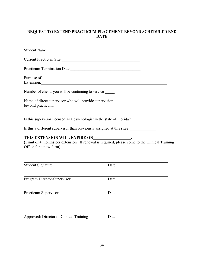# **REQUEST TO EXTEND PRACTICUM PLACEMENT BEYOND SCHEDULED END DATE**

| <b>Student Name</b>                                                         |  |  |
|-----------------------------------------------------------------------------|--|--|
| <b>Current Practicum Site</b>                                               |  |  |
| <b>Practicum Termination Date</b>                                           |  |  |
| Purpose of<br>Extension:                                                    |  |  |
| Number of clients you will be continuing to service                         |  |  |
| Name of direct supervisor who will provide supervision<br>beyond practicum: |  |  |
|                                                                             |  |  |

Is this supervisor licensed as a psychologist in the state of Florida?

Is this a different supervisor than previously assigned at this site?

# **THIS EXTENSION WILL EXPIRE ON\_\_\_\_\_\_\_\_\_\_\_\_\_\_\_\_\_\_\_.**

(Limit of **4** months per extension. If renewal is required, please come to the Clinical Training Office for a new form)

| <b>Student Signature</b>    | Date |  |
|-----------------------------|------|--|
| Program Director/Supervisor | Date |  |
| Practicum Supervisor        | Date |  |
|                             |      |  |

Approved: Director of Clinical Training Date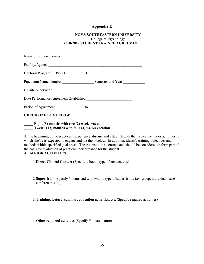### **Appendix E**

#### **NOVA SOUTHEASTERN UNIVERSITY College of Psychology 2018-2019 STUDENT TRAINEE AGREEMENT**

| Name of Student Trainee                    |  |  |
|--------------------------------------------|--|--|
|                                            |  |  |
| Doctoral Program: Psy.D. Ph.D.             |  |  |
| Practicum Name/Number<br>Semester and Year |  |  |
| On-site Supervisor                         |  |  |
|                                            |  |  |
| Period of Agreement                        |  |  |
|                                            |  |  |

**CHECK ONE BOX BELOW:**

Eight (8) months with two (2) weeks vacation **\_\_\_\_\_ Twelve (12) months with four (4) weeks vacation** 

At the beginning of the practicum experience, discuss and establish with the trainee the major activities in which she/he is expected to engage and list them below. In addition, identify training objectives and methods within specified goal areas. These constitute a contract and should be considered to form part of the basis for evaluation of practicum performance for the student.

# **A. MAJOR ACTIVITIES**

1.**Direct Clinical Contact** (Specify # hours, type of contact, etc.)

2.**Supervision** (Specify # hours and with whom, type of supervision, i.e., group, individual, case conference, etc.)

3.**Training, lecture, seminar, education activities, etc.** (Specify required activities)

4.**Other required activities** (Specify # hours, nature)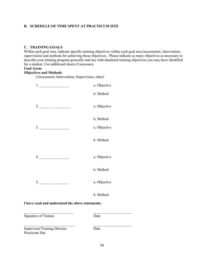#### **B. SCHEDULE OF TIME SPENT AT PRACTICUM SITE**

#### **C. TRAINING GOALS**

Within each goal area, indicate specific training objectives within each goal area (assessment, intervention, supervision) and methods for achieving these objectives. Please indicate as many objectives as necessary to describe your training program generally and any individualized training objectives you may have identified for a student. Use additional sheets if necessary.

### **Goal Areas**

#### **Objectives and Methods**

(Assessment, Intervention, Supervision, other)

| $\frac{1}{1}$ | a. Objective |
|---------------|--------------|
|               | b. Method    |
| 2.            | a. Objective |
|               | b. Method    |
| 3.            | a. Objective |
|               | b. Method    |
|               | a. Objective |
|               | b. Method    |
|               | a. Objective |
|               | b. Method    |

#### **I have read and understood the above statements.**

\_\_\_\_\_\_\_\_\_\_\_\_\_\_\_\_\_\_\_\_\_\_\_\_\_\_\_ \_\_\_\_\_\_\_\_\_\_\_\_\_\_\_\_\_\_\_\_\_ Signature of Trainee Date \_\_\_\_\_\_\_\_\_\_\_\_\_\_\_\_\_\_\_\_\_\_\_\_\_\_\_\_ \_\_\_\_\_\_\_\_\_\_\_\_\_\_\_\_\_\_\_\_\_ Supervisor/Training Director Date Practicum Site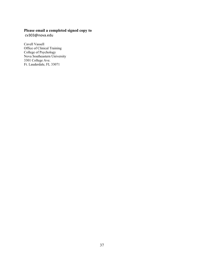# **Please email a completed signed copy to** cv303@nova.edu

Cavell Vassell Office of Clinical Training College of Psychology Nova Southeastern University 3301 College Ave. Ft. Lauderdale, FL 33071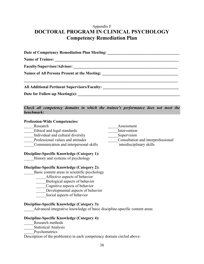# Appendix F **DOCTORAL PROGRAM IN CLINICAL PSYCHOLOGY Competency Remediation Plan**

|  |  |  | All Additional Pertinent Supervisors/Faculty: __________________________________ |  |
|--|--|--|----------------------------------------------------------------------------------|--|
|  |  |  |                                                                                  |  |
|  |  |  |                                                                                  |  |

*Check all competency domains in which the trainee's performance does not meet the benchmark:* 

### **Profession-Wide Competencies:**

| Research                                     | Assessment                          |
|----------------------------------------------|-------------------------------------|
| Ethical and legal standards                  | Intervention                        |
| Individual and cultural diversity            | Supervision                         |
| Professional values and attitudes            | Consultation and interprofessional/ |
| Communication and interpersonal skills       | interdisciplinary skills            |
| Discipline-Specific Knowledge (Category 1):  |                                     |
| History and systems of psychology            |                                     |
| Discipline-Specific Knowledge (Category 2):  |                                     |
| Basic content areas in scientific psychology |                                     |
| Affective aspects of behavior                |                                     |
| Biological aspects of behavior               |                                     |
| Cognitive aspects of behavior                |                                     |
| Developmental aspects of behavior            |                                     |

Social aspects of behavior

# **Discipline-Specific Knowledge (Category 3):**

Advanced integrative knowledge of basic discipline-specific content areas

# **Discipline-Specific Knowledge (Category 4):**

- \_\_\_\_\_Research methods
- Statistical Analysis
- Psychometrics

Description of the problem(s) in each competency domain circled above: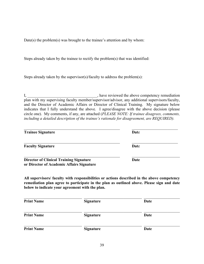Date(s) the problem(s) was brought to the trainee's attention and by whom:

Steps already taken by the trainee to rectify the problem(s) that was identified:

Steps already taken by the supervisor(s)/faculty to address the problem(s):

I, \_\_\_\_\_\_\_\_\_\_\_\_\_\_\_\_\_\_\_\_\_\_\_\_\_\_\_\_\_\_\_\_\_, have reviewed the above competency remediation plan with my supervising faculty member/supervisor/advisor, any additional supervisors/faculty, and the Director of Academic Affairs or Director of Clinical Training. My signature below indicates that I fully understand the above. I agree/disagree with the above decision (please circle one). My comments, if any, are attached (*PLEASE NOTE: If trainee disagrees, comments, including a detailed description of the trainee's rationale for disagreement, are REQUIRED).* 

| <b>Trainee Signature</b>                                                                    | Date |
|---------------------------------------------------------------------------------------------|------|
| <b>Faculty Signature</b>                                                                    | Date |
| <b>Director of Clinical Training Signature</b><br>or Director of Academic Affairs Signature | Date |

**All supervisors/ faculty with responsibilities or actions described in the above competency remediation plan agree to participate in the plan as outlined above. Please sign and date below to indicate your agreement with the plan.** 

| <b>Print Name</b> | <b>Signature</b> | Date |
|-------------------|------------------|------|
| <b>Print Name</b> | <b>Signature</b> | Date |
| <b>Print Name</b> | <b>Signature</b> | Date |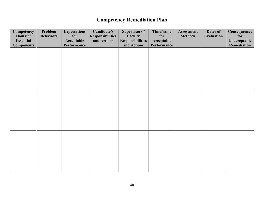# **Competency Remediation Plan**

| Competency<br>Domain/<br><b>Essential</b> | Problem<br><b>Behaviors</b> | <b>Expectations</b><br>for<br>Acceptable | Candidate's<br><b>Responsibilities</b><br>and Actions | Supervisors'/<br>Faculty<br><b>Responsibilities</b> | Timeframe<br>for<br>Acceptable | Assessment<br><b>Methods</b> | Dates of<br><b>Evaluation</b> | Consequences<br>for<br>Unacceptable |
|-------------------------------------------|-----------------------------|------------------------------------------|-------------------------------------------------------|-----------------------------------------------------|--------------------------------|------------------------------|-------------------------------|-------------------------------------|
| <b>Components</b>                         |                             | Performance                              |                                                       | and Actions                                         | Performance                    |                              |                               | Remediation                         |
|                                           |                             |                                          |                                                       |                                                     |                                |                              |                               |                                     |
|                                           |                             |                                          |                                                       |                                                     |                                |                              |                               |                                     |
|                                           |                             |                                          |                                                       |                                                     |                                |                              |                               |                                     |
|                                           |                             |                                          |                                                       |                                                     |                                |                              |                               |                                     |
|                                           |                             |                                          |                                                       |                                                     |                                |                              |                               |                                     |
|                                           |                             |                                          |                                                       |                                                     |                                |                              |                               |                                     |
|                                           |                             |                                          |                                                       |                                                     |                                |                              |                               |                                     |
|                                           |                             |                                          |                                                       |                                                     |                                |                              |                               |                                     |
|                                           |                             |                                          |                                                       |                                                     |                                |                              |                               |                                     |
|                                           |                             |                                          |                                                       |                                                     |                                |                              |                               |                                     |
|                                           |                             |                                          |                                                       |                                                     |                                |                              |                               |                                     |
|                                           |                             |                                          |                                                       |                                                     |                                |                              |                               |                                     |
|                                           |                             |                                          |                                                       |                                                     |                                |                              |                               |                                     |
|                                           |                             |                                          |                                                       |                                                     |                                |                              |                               |                                     |
|                                           |                             |                                          |                                                       |                                                     |                                |                              |                               |                                     |
|                                           |                             |                                          |                                                       |                                                     |                                |                              |                               |                                     |
|                                           |                             |                                          |                                                       |                                                     |                                |                              |                               |                                     |
|                                           |                             |                                          |                                                       |                                                     |                                |                              |                               |                                     |
|                                           |                             |                                          |                                                       |                                                     |                                |                              |                               |                                     |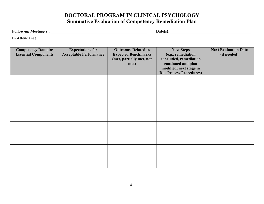# **DOCTORAL PROGRAM IN CLINICAL PSYCHOLOGY Summative Evaluation of Competency Remediation Plan**

**Follow-up Meeting(s):** \_\_\_\_\_\_\_\_\_\_\_\_\_\_\_\_\_\_\_\_\_\_\_\_\_\_\_\_\_\_\_\_\_\_\_\_\_\_\_\_\_\_\_\_\_\_\_\_ **Date(s):** \_\_\_\_\_\_\_\_\_\_\_\_\_\_\_\_\_\_\_\_\_\_\_\_\_\_\_\_\_\_\_\_\_\_\_\_\_\_\_\_

**In Attendance:** \_\_\_\_\_\_\_\_\_\_\_\_\_\_\_\_\_\_\_\_\_\_\_\_\_\_\_\_\_\_\_\_\_\_\_\_\_\_\_\_\_\_\_\_\_\_\_\_\_\_\_\_\_\_\_\_\_\_\_\_\_\_\_\_\_\_\_\_\_\_\_\_\_\_\_\_\_\_\_\_\_\_\_\_\_\_\_\_\_\_\_\_\_\_\_\_\_\_\_\_\_\_\_\_\_\_

| <b>Competency Domain/</b><br><b>Essential Components</b> | <b>Expectations for</b><br><b>Acceptable Performance</b> | <b>Outcomes Related to</b><br><b>Expected Benchmarks</b><br>(met, partially met, not<br>met) | <b>Next Steps</b><br>(e.g., remediation<br>concluded, remediation<br>continued and plan<br>modified, next stage in<br><b>Due Process Procedures)</b> | <b>Next Evaluation Date</b><br>(if needed) |
|----------------------------------------------------------|----------------------------------------------------------|----------------------------------------------------------------------------------------------|------------------------------------------------------------------------------------------------------------------------------------------------------|--------------------------------------------|
|                                                          |                                                          |                                                                                              |                                                                                                                                                      |                                            |
|                                                          |                                                          |                                                                                              |                                                                                                                                                      |                                            |
|                                                          |                                                          |                                                                                              |                                                                                                                                                      |                                            |
|                                                          |                                                          |                                                                                              |                                                                                                                                                      |                                            |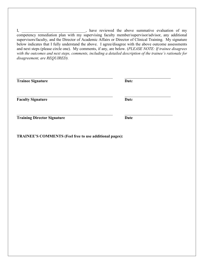I, \_\_\_\_\_\_\_\_\_\_\_\_\_\_\_\_\_\_\_\_\_\_\_\_\_\_, have reviewed the above summative evaluation of my competency remediation plan with my supervising faculty member/supervisor/advisor, any additional supervisors/faculty, and the Director of Academic Affairs or Director of Clinical Training. My signature below indicates that I fully understand the above. I agree/disagree with the above outcome assessments and next steps (please circle one). My comments, if any, are below. (*PLEASE NOTE: If trainee disagrees with the outcomes and next steps, comments, including a detailed description of the trainee's rationale for disagreement, are REQUIRED).* 

| <b>Trainee Signature</b>           | Date        |  |  |
|------------------------------------|-------------|--|--|
| <b>Faculty Signature</b>           | Date        |  |  |
| <b>Training Director Signature</b> | <b>Date</b> |  |  |

# **TRAINEE'S COMMENTS (Feel free to use additional pages):**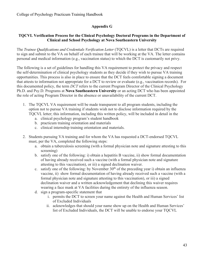# **Appendix G**

# **TQCVL Verification Process for the Clinical Psychology Doctoral Programs in the Department of Clinical and School Psychology at Nova Southeastern University**

The *Trainee Qualifications and Credentials Verification Letter* (TQCVL) is a letter that DCTs are required to sign and submit to the VA on behalf of each trainee that will be working at the VA. The letter contains personal and medical information (e.g., vaccination status) to which the DCT is customarily not privy.

The following is a set of guidelines for handling this VA requirement to protect the privacy and respect the self-determination of clinical psychology students as they decide if they wish to pursue VA training opportunities. This process is also in place to ensure that the DCT feels comfortable signing a document that attests to information not appropriate for a DCT to review or evaluate (e.g., vaccination records). For this documented policy, the term *DCT* refers to the current Program Director of the Clinical Psychology Ph.D. and Psy.D. Programs at **Nova Southeastern University** or an acting DCT who has been appointed the role of acting Program Director in the absence or unavailability of the current DCT.

- 1. The TQCVL VA requirement will be made transparent to all program students, including the option not to pursue VA training if students wish not to disclose information required by the TQCVL letter; this information, including this written policy, will be included in detail in the
	- a. clinical psychology program's student handbook
	- b. practicum training orientation and materials
	- c. clinical internship training orientation and materials.
- 2. Students pursuing VA training and for whom the VA has requested a DCT-endorsed TQCVL must, per the VA, completed the following steps:
	- a. obtain a tuberculosis screening (with a formal physician note and signature attesting to this screening)
	- b. satisfy one of the following: i) obtain a hepatitis B vaccine, ii) show formal documentation of having already received such a vaccine (with a formal physician note and signature attesting to this vaccination), or iii) a signed declination waiver.
	- c. satisfy one of the following: by November  $30<sup>th</sup>$  of the preceding year i) obtain an influenza vaccine, ii) show formal documentation of having already received such a vaccine (with a formal physician note and signature attesting to this vaccination), or iii) a signed declination waiver and a written acknowledgement that declining this waiver requires wearing a face mask at VA facilities during the entirety of the influenza season.
	- d. sign a program-specific statement that
		- i. permits the DCT to screen your name against the Health and Human Services' list of Excluded Individuals
		- ii. acknowledges that should your name show up on the Health and Human Services' list of Excluded Individuals, the DCT will be unable to endorse your TQCVL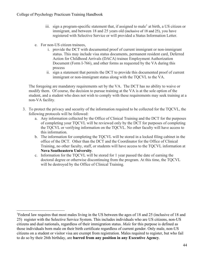- iii. sign a program-specific statement that, if assigned to male<sup>[1](#page-43-0)</sup> at birth, a US citizen or immigrant, and between 18 and 25 years old (inclusive of 18 and 25), you have registered with Selective Service or will provided a Status Information Letter.
- e. For non-US citizen trainees,
	- i. provide the DCT with documented proof of current immigrant or non-immigrant status. This may include visa status documents, permanent resident card, Deferred Action for Childhood Arrivals (DACA) trainee Employment Authorization Document (Form I-766), and other forms as requested by the VA during this process
	- ii. sign a statement that permits the DCT to provide this documented proof of current immigrant or non-immigrant status along with the TQCVL to the VA.

The foregoing are mandatory requirements set by the VA. The DCT has no ability to waive or modify them. Of course, the decision to pursue training at the VA is at the sole option of the student, and a student who does not wish to comply with these requirements may seek training at a non-VA facility.

- 3. To protect the privacy and security of the information required to be collected for the TQCVL, the following protocols will be followed:
	- a. Any information collected by the Office of Clinical Training and the DCT for the purposes of completing your TQCVL will be reviewed only by the DCT for purposes of completing the TQCVL or verifying information on the TQCVL. No other faculty will have access to this information.
	- b. The information for completing the TQCVL will be stored in a locked filing cabinet in the office of the DCT. Other than the DCT and the Coordinator for the Office of Clinical Training, no other faculty, staff, or students will have access to the TQCVL information at **Nova Southeastern University**.
	- c. Information for the TQCVL will be stored for 1 year passed the date of earning the doctoral degree or otherwise discontinuing from the program. At this time, the TOCVL will be destroyed by the Office of Clinical Training.

<span id="page-43-0"></span><sup>&</sup>lt;sup>1</sup>Federal law requires that most males living in the US between the ages of 18 and 25 (inclusive of 18 and 25) register with the Selective Service System. This includes individuals who are US citizens, non-US citizens and dual nationals, regardless of their immigration status. *Male* for this purpose is defined as those individuals born male on their birth certificate regardless of current gender. Only male, non-US citizens on a student or visitor visa are exempt from registration. Males required to register, but who fail to do so by their 26th birthday, are **barred from any position in any Executive Agency**.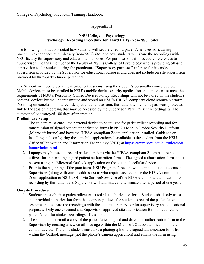# **Appendix H**

# **NSU College of Psychology Psychology Recording Procedure for Third Party (Non-NSU) Sites**

The following instructions detail how students will securely record patient/client sessions during practicum experiences at third-party (non-NSU) sites and how students will share the recordings with NSU faculty for supervisory and educational purposes. For purposes of this procedure, references to "Supervisor" means a member of the faculty of NSU's College of Psychology who is providing off-site supervision to the student during the practicum. "Supervisory purposes" refers to the intensive supervision provided by the Supervisor for educational purposes and does not include on-site supervision provided by third-party clinical personnel.

The Student will record certain patient/client sessions using the student's personally owned device. Mobile devices must be enrolled in NSU's mobile device security application and laptops must meet the requirements of NSU's Personally Owned Devices Policy. Recordings will not be stored on the student's personal devices but will be transmitted and stored on NSU's HIPAA-compliant cloud storage platform, Zoom. Upon conclusion of a recorded patient/client session, the student will email a password protected link to the session recording that may be accessed by the Supervisor. Patient/client recordings will be automatically destroyed 180 days after creation.

# **Preliminary Setup**

- 1. The student must enroll the personal device to be utilized for patient/client recording and for transmission of signed patient authorization forms in NSU's Mobile Device Security Platform (Microsoft Intune) and have the HIPAA-compliant Zoom application installed. Guidance on installing and configuring these mobile applications is available to the student from the NSU Office of Innovation and Information Technology (OIIT) at [https://www.nova.edu/oiit/microsoft](https://www.nova.edu/oiit/microsoft-intune/index.html)[intune/index.html.](https://www.nova.edu/oiit/microsoft-intune/index.html)
- 2. Laptops may be used to record patient sessions via the HIPAA-compliant Zoom but are not utilized for transmitting signed patient authorization forms. The signed authorization forms must be sent using the Microsoft Outlook application on the student's cellular device.
- 3. Prior to the beginning of the practicum, NSU Program Directors will submit a list of students and Supervisors (along with emails addresses) to who require access to use the HIPAA-compliant Zoom application to NSU's OIIT via ServiceNow. Use of the HIPAA-compliant application for recording by the student and Supervisor will automatically terminate after a period of one year.

# **On-Site Procedure**

- 1. Students must obtain a patient/client executed site authorization form. Students shall only use a site-provided authorization form that expressly allows the student to record the patient/client sessions and to share the recordings with the student's Supervisor for supervisory and educational purposes. Only one executed and Supervisor- approved site authorization form is required per patient/client for student recordings of sessions.
- 2. The student must email a copy of the patient/client signed and dated site authorization form to the Supervisor by creating a new email message within the Microsoft Outlook application on their cellular device. Then, the student must take a photograph of the signed authorization form from within the Outlook message (not the phone's camera application) and emails the form using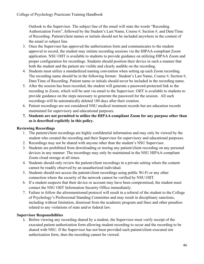Outlook to the Supervisor. The subject line of the email will state the words "Recording Authorization Form", followed by the Student's Last Name, Course #, Section #, and Date/Time of Recording. Patient/client names or initials should not be included anywhere in the content of the email or subject line.

- 3. Once the Supervisor has approved the authorization form and communicates to the student approval to record, the student may initiate recording sessions via the HIPAA-compliant Zoom application. NSU OIIT is available to students to provide guidance on utilizing HIPAA Zoom and proper configuration for recordings. Students should position their device in such a manner that both the student and the patient are visible and clearly audible on the recording.
- 4. Students must utilize a standardized naming convention when setting up each Zoom recording. The recording name should be in the following format: Student's Last Name, Course #, Section #, Date/Time of Recording. Patient name or initials should never be included in the recording name.
- 5. After the session has been recorded, the student will generate a password-protected link to the recording in Zoom, which will be sent via email to the Supervisor. OIIT is available to students to provide guidance on the steps necessary to generate the password for the session. All such recordings will be automatically deleted 180 days after their creation.
- 6. Patient recordings are not considered NSU medical treatment records but are education records maintained for supervisory and educational purposes.
- **7. Students are not permitted to utilize the HIPAA-compliant Zoom for any purpose other than as is described explicitly in this policy.**

# **Reviewing Recordings**

- 1. The patient/client recordings are highly confidential information and may only be viewed by the student who created the recording and their Supervisor for supervisory and educational purposes.
- 2. Recordings may not be shared with anyone other than the student's NSU Supervisor.
- 3. Students are prohibited from downloading or storing any patient/client recording on any personal devices in any manner. The recordings may only be maintained in the NSU HIPAA-compliant Zoom cloud storage at all times.
- 4. Students should only review the patient/client recordings in a private setting where the content cannot be readily observed by an unauthorized individual.
- 5. Students should not access the patient/client recordings using public Wi-Fi or any other connection where the security of the network cannot be verified by NSU OIIT.
- 6. If a student suspects that their device or account may have been compromised, the student must contact the NSU OIIT Information Security Office immediately.
- 7. Failure to follow the aforementioned protocol will result in a referral of the student to the College of Psychology's Professional Standing Committee and may result in disciplinary sanctions, including without limitation, dismissal from the academic program and fines and other penalties related to any violations of state and/or federal law.

# **Supervisor Responsibilities**

1. Before viewing any recording shared by a student, the Supervisor must verify receipt of the executed patient authorization form allowing student recording to occur and the recording to be shared with NSU. If the Supervisor has not been provided such patient/client executed site authorization form, then the recording cannot be viewed.